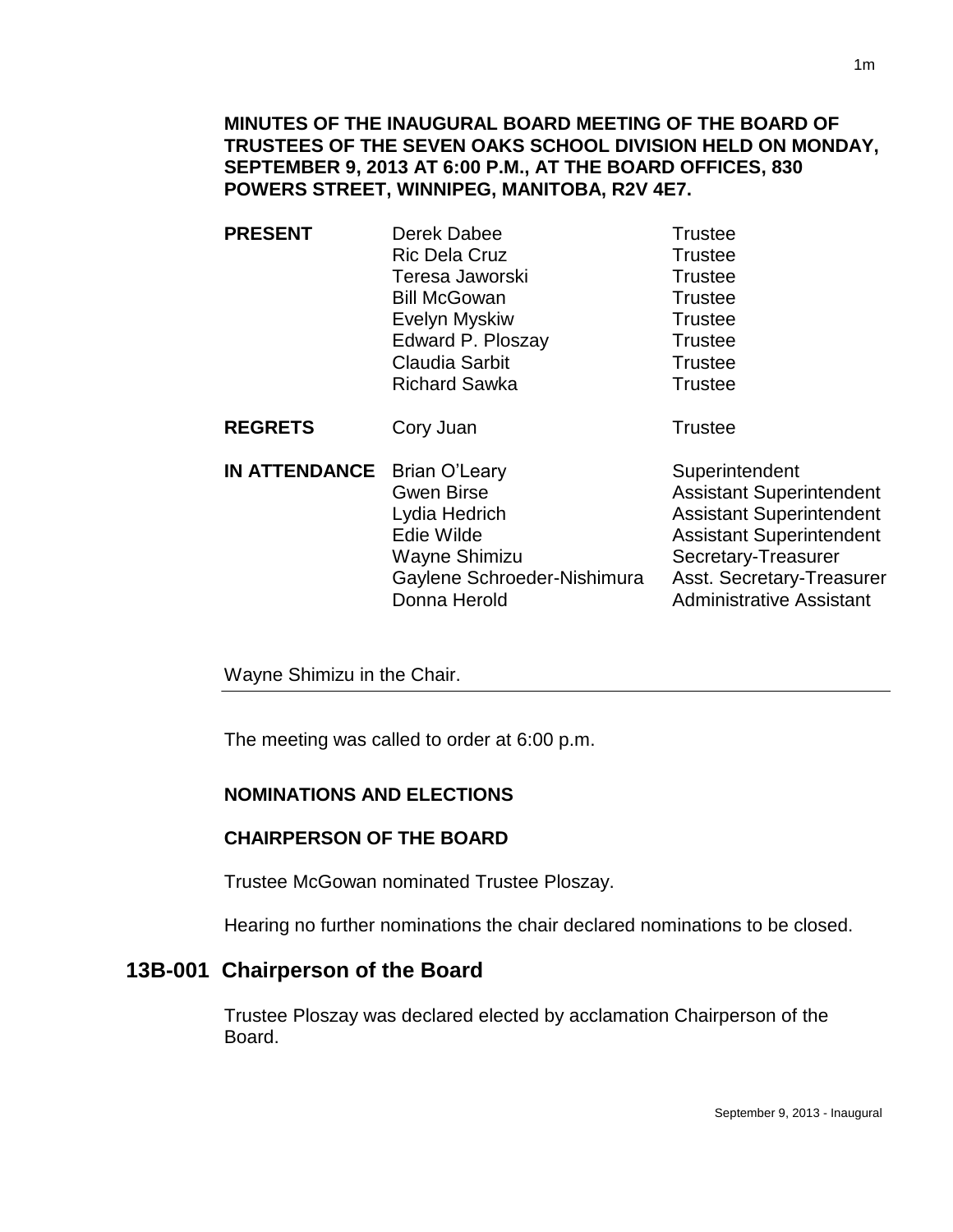**MINUTES OF THE INAUGURAL BOARD MEETING OF THE BOARD OF TRUSTEES OF THE SEVEN OAKS SCHOOL DIVISION HELD ON MONDAY, SEPTEMBER 9, 2013 AT 6:00 P.M., AT THE BOARD OFFICES, 830 POWERS STREET, WINNIPEG, MANITOBA, R2V 4E7.**

**PRESENT** Derek Dabee Trustee Ric Dela Cruz **Trustee** Teresa Jaworski **Trustee** Bill McGowan **Trustee** Evelyn Myskiw **Trustee** Edward P. Ploszay Trustee Claudia Sarbit **Trustee** Richard Sawka Trustee

**REGRETS** Cory Juan **Trustee** 

**IN ATTENDANCE** Brian O'Leary Superintendent Gwen Birse **Assistant Superintendent** Lydia Hedrich Assistant Superintendent Edie Wilde **Assistant Superintendent** Wayne Shimizu Secretary-Treasurer Gaylene Schroeder-Nishimura Asst. Secretary-Treasurer Donna Herold **Administrative Assistant** 

Wayne Shimizu in the Chair.

The meeting was called to order at 6:00 p.m.

### **NOMINATIONS AND ELECTIONS**

### **CHAIRPERSON OF THE BOARD**

Trustee McGowan nominated Trustee Ploszay.

Hearing no further nominations the chair declared nominations to be closed.

# **13B-001 Chairperson of the Board**

Trustee Ploszay was declared elected by acclamation Chairperson of the Board.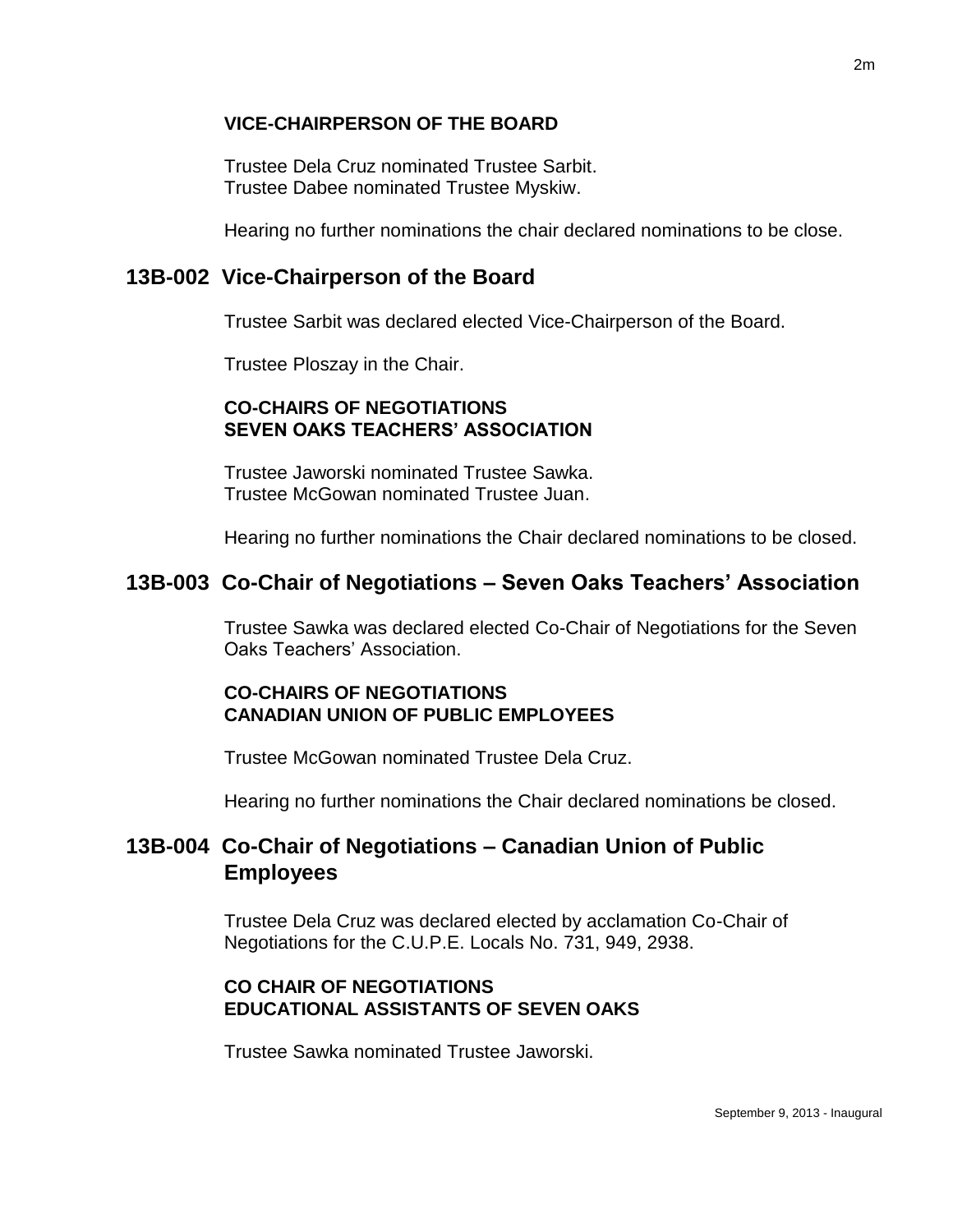#### **VICE-CHAIRPERSON OF THE BOARD**

Trustee Dela Cruz nominated Trustee Sarbit. Trustee Dabee nominated Trustee Myskiw.

Hearing no further nominations the chair declared nominations to be close.

## **13B-002 Vice-Chairperson of the Board**

Trustee Sarbit was declared elected Vice-Chairperson of the Board.

Trustee Ploszay in the Chair.

#### **CO-CHAIRS OF NEGOTIATIONS SEVEN OAKS TEACHERS' ASSOCIATION**

Trustee Jaworski nominated Trustee Sawka. Trustee McGowan nominated Trustee Juan.

Hearing no further nominations the Chair declared nominations to be closed.

## **13B-003 Co-Chair of Negotiations – Seven Oaks Teachers' Association**

Trustee Sawka was declared elected Co-Chair of Negotiations for the Seven Oaks Teachers' Association.

#### **CO-CHAIRS OF NEGOTIATIONS CANADIAN UNION OF PUBLIC EMPLOYEES**

Trustee McGowan nominated Trustee Dela Cruz.

Hearing no further nominations the Chair declared nominations be closed.

## **13B-004 Co-Chair of Negotiations – Canadian Union of Public Employees**

Trustee Dela Cruz was declared elected by acclamation Co-Chair of Negotiations for the C.U.P.E. Locals No. 731, 949, 2938.

### **CO CHAIR OF NEGOTIATIONS EDUCATIONAL ASSISTANTS OF SEVEN OAKS**

Trustee Sawka nominated Trustee Jaworski.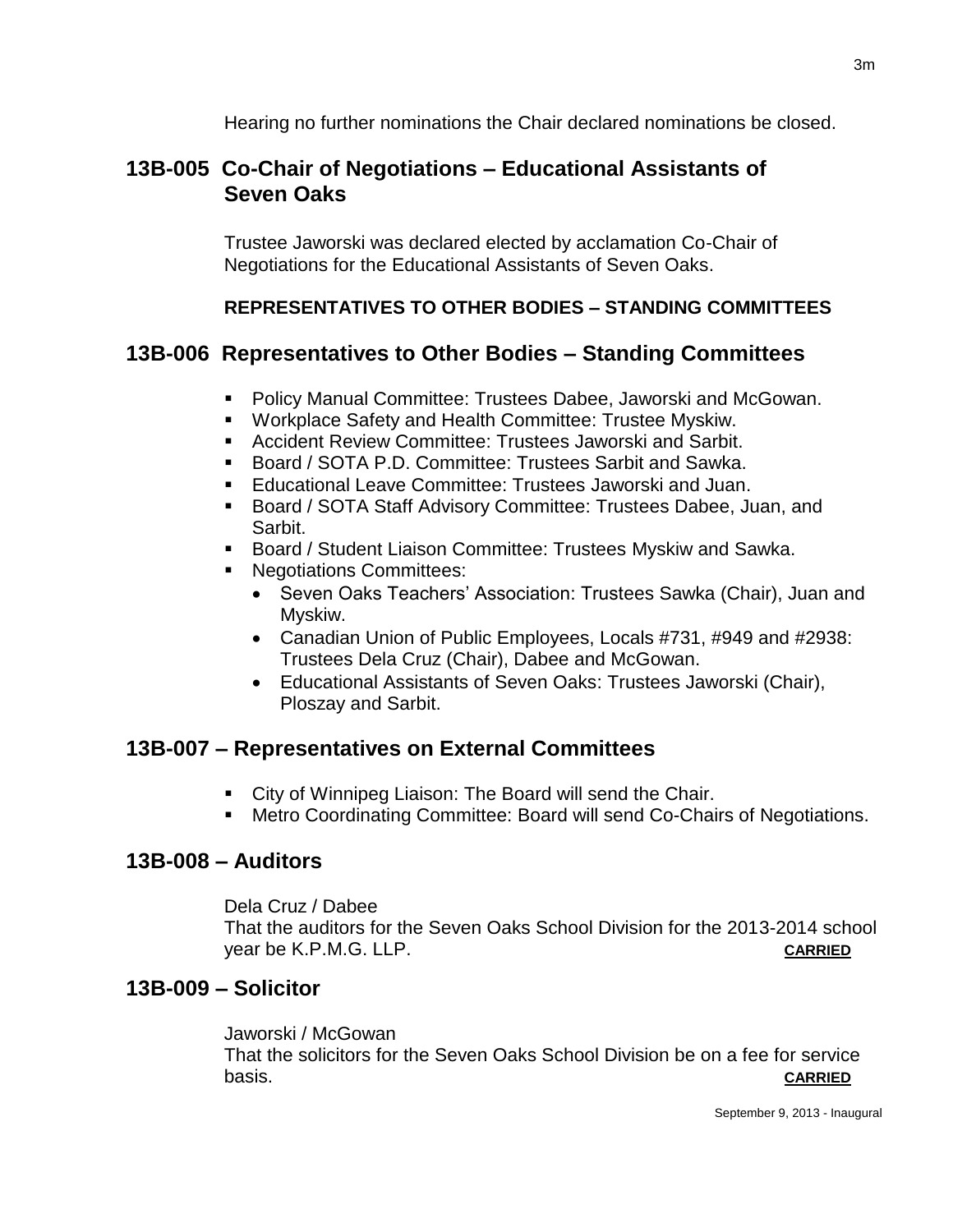Hearing no further nominations the Chair declared nominations be closed.

# **13B-005 Co-Chair of Negotiations – Educational Assistants of Seven Oaks**

Trustee Jaworski was declared elected by acclamation Co-Chair of Negotiations for the Educational Assistants of Seven Oaks.

## **REPRESENTATIVES TO OTHER BODIES – STANDING COMMITTEES**

## **13B-006 Representatives to Other Bodies – Standing Committees**

- **Policy Manual Committee: Trustees Dabee, Jaworski and McGowan.**
- Workplace Safety and Health Committee: Trustee Myskiw.
- Accident Review Committee: Trustees Jaworski and Sarbit.
- Board / SOTA P.D. Committee: Trustees Sarbit and Sawka.
- Educational Leave Committee: Trustees Jaworski and Juan.
- Board / SOTA Staff Advisory Committee: Trustees Dabee, Juan, and Sarbit.
- Board / Student Liaison Committee: Trustees Myskiw and Sawka.
- **Negotiations Committees:** 
	- Seven Oaks Teachers' Association: Trustees Sawka (Chair), Juan and Myskiw.
	- Canadian Union of Public Employees, Locals #731, #949 and #2938: Trustees Dela Cruz (Chair), Dabee and McGowan.
	- Educational Assistants of Seven Oaks: Trustees Jaworski (Chair), Ploszay and Sarbit.

## **13B-007 – Representatives on External Committees**

- City of Winnipeg Liaison: The Board will send the Chair.
- Metro Coordinating Committee: Board will send Co-Chairs of Negotiations.

### **13B-008 – Auditors**

Dela Cruz / Dabee

That the auditors for the Seven Oaks School Division for the 2013-2014 school year be K.P.M.G. LLP. **CARRIED**

## **13B-009 – Solicitor**

Jaworski / McGowan That the solicitors for the Seven Oaks School Division be on a fee for service basis. **CARRIED**